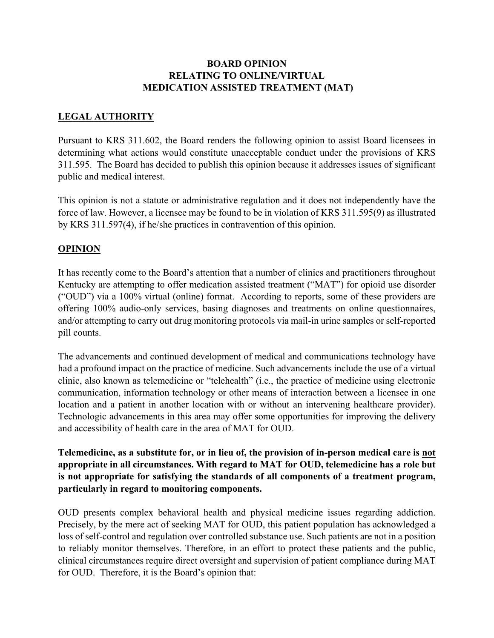## **BOARD OPINION RELATING TO ONLINE/VIRTUAL MEDICATION ASSISTED TREATMENT (MAT)**

## **LEGAL AUTHORITY**

Pursuant to KRS 311.602, the Board renders the following opinion to assist Board licensees in determining what actions would constitute unacceptable conduct under the provisions of KRS 311.595. The Board has decided to publish this opinion because it addresses issues of significant public and medical interest.

This opinion is not a statute or administrative regulation and it does not independently have the force of law. However, a licensee may be found to be in violation of KRS 311.595(9) as illustrated by KRS 311.597(4), if he/she practices in contravention of this opinion.

## **OPINION**

It has recently come to the Board's attention that a number of clinics and practitioners throughout Kentucky are attempting to offer medication assisted treatment ("MAT") for opioid use disorder ("OUD") via a 100% virtual (online) format. According to reports, some of these providers are offering 100% audio-only services, basing diagnoses and treatments on online questionnaires, and/or attempting to carry out drug monitoring protocols via mail-in urine samples or self-reported pill counts.

The advancements and continued development of medical and communications technology have had a profound impact on the practice of medicine. Such advancements include the use of a virtual clinic, also known as telemedicine or "telehealth" (i.e., the practice of medicine using electronic communication, information technology or other means of interaction between a licensee in one location and a patient in another location with or without an intervening healthcare provider). Technologic advancements in this area may offer some opportunities for improving the delivery and accessibility of health care in the area of MAT for OUD.

**Telemedicine, as a substitute for, or in lieu of, the provision of in-person medical care is not appropriate in all circumstances. With regard to MAT for OUD, telemedicine has a role but is not appropriate for satisfying the standards of all components of a treatment program, particularly in regard to monitoring components.** 

OUD presents complex behavioral health and physical medicine issues regarding addiction. Precisely, by the mere act of seeking MAT for OUD, this patient population has acknowledged a loss of self-control and regulation over controlled substance use. Such patients are not in a position to reliably monitor themselves. Therefore, in an effort to protect these patients and the public, clinical circumstances require direct oversight and supervision of patient compliance during MAT for OUD. Therefore, it is the Board's opinion that: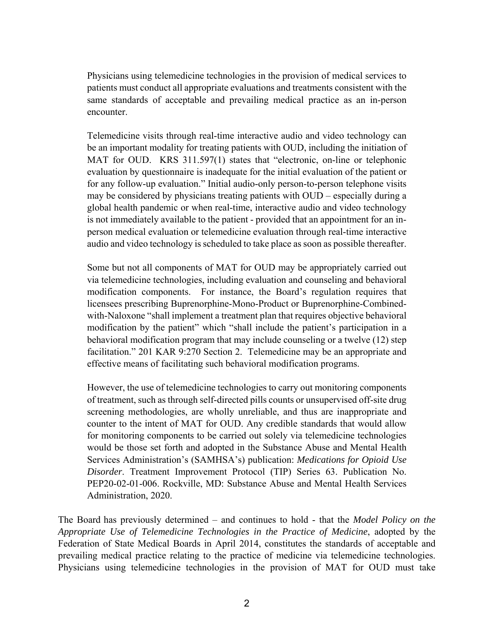Physicians using telemedicine technologies in the provision of medical services to patients must conduct all appropriate evaluations and treatments consistent with the same standards of acceptable and prevailing medical practice as an in-person encounter.

Telemedicine visits through real-time interactive audio and video technology can be an important modality for treating patients with OUD, including the initiation of MAT for OUD. KRS 311.597(1) states that "electronic, on-line or telephonic evaluation by questionnaire is inadequate for the initial evaluation of the patient or for any follow-up evaluation." Initial audio-only person-to-person telephone visits may be considered by physicians treating patients with OUD – especially during a global health pandemic or when real-time, interactive audio and video technology is not immediately available to the patient - provided that an appointment for an inperson medical evaluation or telemedicine evaluation through real-time interactive audio and video technology is scheduled to take place as soon as possible thereafter.

Some but not all components of MAT for OUD may be appropriately carried out via telemedicine technologies, including evaluation and counseling and behavioral modification components. For instance, the Board's regulation requires that licensees prescribing Buprenorphine-Mono-Product or Buprenorphine-Combinedwith-Naloxone "shall implement a treatment plan that requires objective behavioral modification by the patient" which "shall include the patient's participation in a behavioral modification program that may include counseling or a twelve (12) step facilitation." 201 KAR 9:270 Section 2. Telemedicine may be an appropriate and effective means of facilitating such behavioral modification programs.

However, the use of telemedicine technologies to carry out monitoring components of treatment, such as through self-directed pills counts or unsupervised off-site drug screening methodologies, are wholly unreliable, and thus are inappropriate and counter to the intent of MAT for OUD. Any credible standards that would allow for monitoring components to be carried out solely via telemedicine technologies would be those set forth and adopted in the Substance Abuse and Mental Health Services Administration's (SAMHSA's) publication: *Medications for Opioid Use Disorder*. Treatment Improvement Protocol (TIP) Series 63. Publication No. PEP20-02-01-006. Rockville, MD: Substance Abuse and Mental Health Services Administration, 2020.

The Board has previously determined – and continues to hold - that the *Model Policy on the Appropriate Use of Telemedicine Technologies in the Practice of Medicine*, adopted by the Federation of State Medical Boards in April 2014, constitutes the standards of acceptable and prevailing medical practice relating to the practice of medicine via telemedicine technologies. Physicians using telemedicine technologies in the provision of MAT for OUD must take